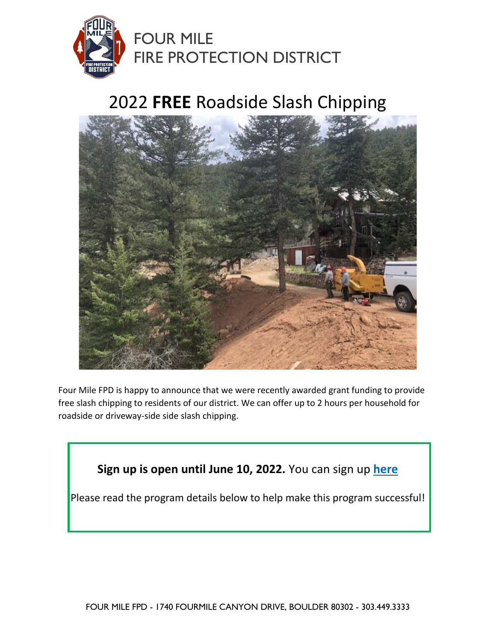

## 2022 **FREE** Roadside Slash Chipping



Four Mile FPD is happy to announce that we were recently awarded grant funding to provide free slash chipping to residents of our district. We can offer up to 2 hours per household for roadside or driveway-side side slash chipping.

**Sign up is open until June 10, 2022.** You can sign up **[here](https://forms.gle/y6hHzZ8htqoXg7DL8)**

Please read the program details below to help make this program successful!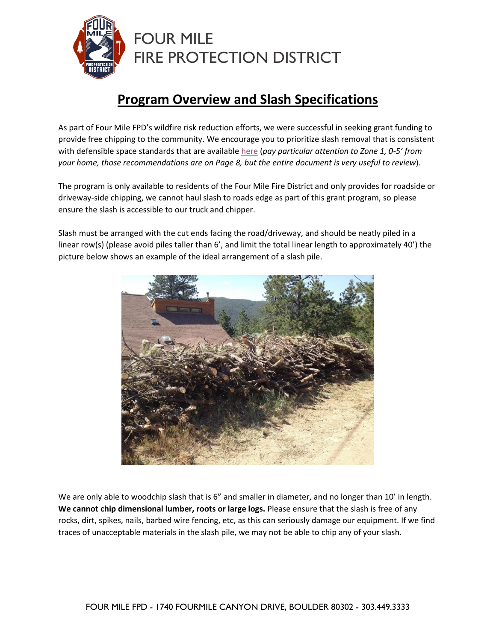

## **Program Overview and Slash Specifications**

As part of Four Mile FPD's wildfire risk reduction efforts, we were successful in seeking grant funding to provide free chipping to the community. We encourage you to prioritize slash removal that is consistent with defensible space standards that are available [here](https://csfs.colostate.edu/wp-content/uploads/2021/04/2021_CSFS_HIZGuide_Web.pdf) (*pay particular attention to Zone 1, 0-5' from your home, those recommendations are on Page 8, but the entire document is very useful to review*).

The program is only available to residents of the Four Mile Fire District and only provides for roadside or driveway-side chipping, we cannot haul slash to roads edge as part of this grant program, so please ensure the slash is accessible to our truck and chipper.

Slash must be arranged with the cut ends facing the road/driveway, and should be neatly piled in a linear row(s) (please avoid piles taller than 6', and limit the total linear length to approximately 40') the picture below shows an example of the ideal arrangement of a slash pile.



We are only able to woodchip slash that is 6" and smaller in diameter, and no longer than 10' in length. **We cannot chip dimensional lumber, roots or large logs.** Please ensure that the slash is free of any rocks, dirt, spikes, nails, barbed wire fencing, etc, as this can seriously damage our equipment. If we find traces of unacceptable materials in the slash pile, we may not be able to chip any of your slash.